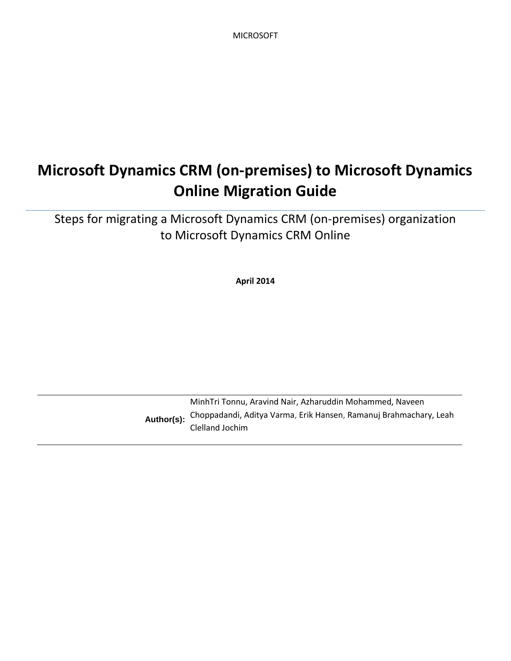MICROSOFT

# **Microsoft Dynamics CRM (on-premises) to Microsoft Dynamics Online Migration Guide**

Steps for migrating a Microsoft Dynamics CRM (on-premises) organization to Microsoft Dynamics CRM Online

**April 2014**

**Author(s):** MinhTri Tonnu, Aravind Nair, Azharuddin Mohammed, Naveen Choppadandi, Aditya Varma, Erik Hansen, Ramanuj Brahmachary, Leah Clelland Jochim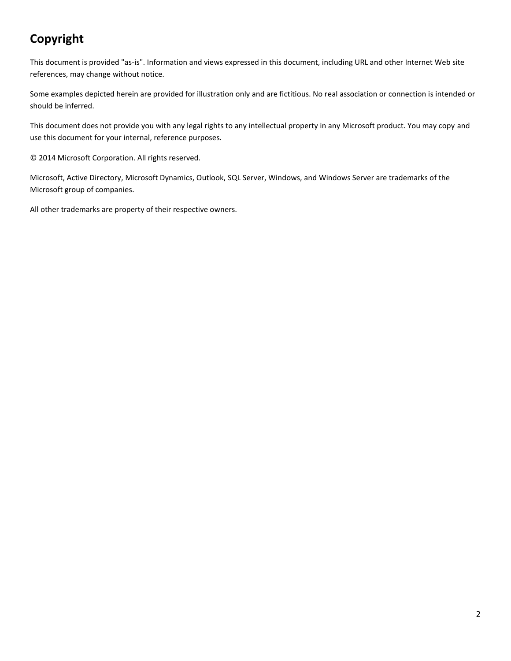# **Copyright**

This document is provided "as-is". Information and views expressed in this document, including URL and other Internet Web site references, may change without notice.

Some examples depicted herein are provided for illustration only and are fictitious. No real association or connection is intended or should be inferred.

This document does not provide you with any legal rights to any intellectual property in any Microsoft product. You may copy and use this document for your internal, reference purposes.

© 2014 Microsoft Corporation. All rights reserved.

Microsoft, Active Directory, Microsoft Dynamics, Outlook, SQL Server, Windows, and Windows Server are trademarks of the Microsoft group of companies.

All other trademarks are property of their respective owners.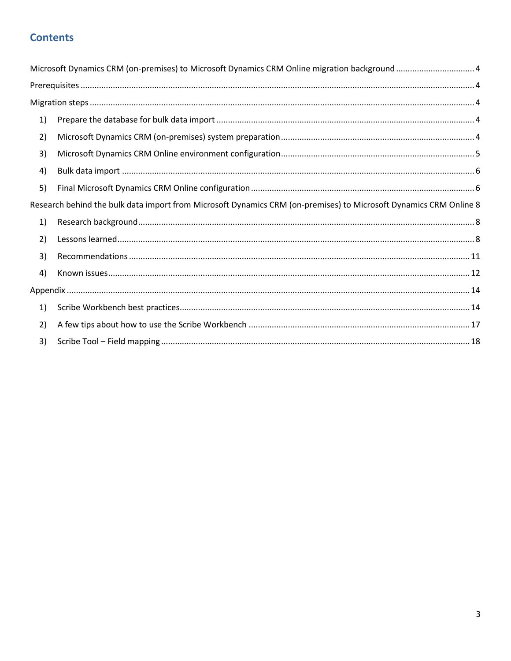# **Contents**

|    | Microsoft Dynamics CRM (on-premises) to Microsoft Dynamics CRM Online migration background  4                     |  |
|----|-------------------------------------------------------------------------------------------------------------------|--|
|    |                                                                                                                   |  |
|    |                                                                                                                   |  |
| 1) |                                                                                                                   |  |
| 2) |                                                                                                                   |  |
| 3) |                                                                                                                   |  |
| 4) |                                                                                                                   |  |
| 5) |                                                                                                                   |  |
|    | Research behind the bulk data import from Microsoft Dynamics CRM (on-premises) to Microsoft Dynamics CRM Online 8 |  |
| 1) |                                                                                                                   |  |
| 2) |                                                                                                                   |  |
| 3) |                                                                                                                   |  |
| 4) |                                                                                                                   |  |
|    |                                                                                                                   |  |
| 1) |                                                                                                                   |  |
| 2) |                                                                                                                   |  |
| 3) |                                                                                                                   |  |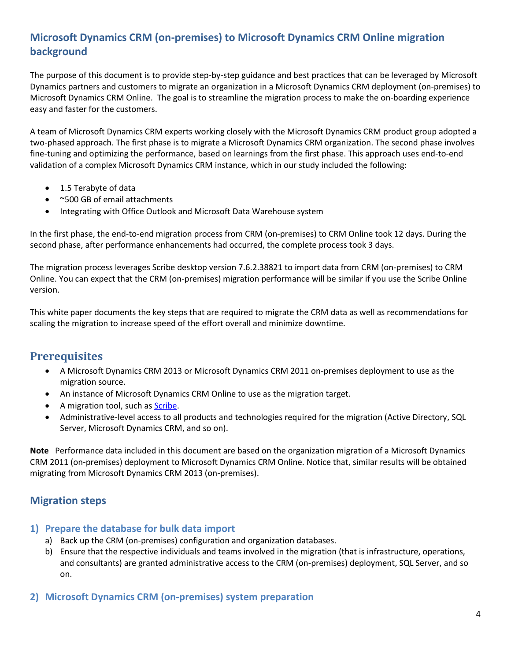# <span id="page-3-0"></span>**Microsoft Dynamics CRM (on-premises) to Microsoft Dynamics CRM Online migration background**

The purpose of this document is to provide step-by-step guidance and best practices that can be leveraged by Microsoft Dynamics partners and customers to migrate an organization in a Microsoft Dynamics CRM deployment (on-premises) to Microsoft Dynamics CRM Online. The goal is to streamline the migration process to make the on-boarding experience easy and faster for the customers.

A team of Microsoft Dynamics CRM experts working closely with the Microsoft Dynamics CRM product group adopted a two-phased approach. The first phase is to migrate a Microsoft Dynamics CRM organization. The second phase involves fine-tuning and optimizing the performance, based on learnings from the first phase. This approach uses end-to-end validation of a complex Microsoft Dynamics CRM instance, which in our study included the following:

- 1.5 Terabyte of data
- ~500 GB of email attachments
- Integrating with Office Outlook and Microsoft Data Warehouse system

In the first phase, the end-to-end migration process from CRM (on-premises) to CRM Online took 12 days. During the second phase, after performance enhancements had occurred, the complete process took 3 days.

The migration process leverages Scribe desktop version 7.6.2.38821 to import data from CRM (on-premises) to CRM Online. You can expect that the CRM (on-premises) migration performance will be similar if you use the Scribe Online version.

This white paper documents the key steps that are required to migrate the CRM data as well as recommendations for scaling the migration to increase speed of the effort overall and minimize downtime.

# <span id="page-3-1"></span>**Prerequisites**

- A Microsoft Dynamics CRM 2013 or Microsoft Dynamics CRM 2011 on-premises deployment to use as the migration source.
- An instance of Microsoft Dynamics CRM Online to use as the migration target.
- A migration tool, such as [Scribe.](http://www.scribesoft.com/microsoft-dynamics)
- Administrative-level access to all products and technologies required for the migration (Active Directory, SQL Server, Microsoft Dynamics CRM, and so on).

**Note** Performance data included in this document are based on the organization migration of a Microsoft Dynamics CRM 2011 (on-premises) deployment to Microsoft Dynamics CRM Online. Notice that, similar results will be obtained migrating from Microsoft Dynamics CRM 2013 (on-premises).

## <span id="page-3-2"></span>**Migration steps**

### <span id="page-3-3"></span>**1) Prepare the database for bulk data import**

- a) Back up the CRM (on-premises) configuration and organization databases.
- b) Ensure that the respective individuals and teams involved in the migration (that is infrastructure, operations, and consultants) are granted administrative access to the CRM (on-premises) deployment, SQL Server, and so on.
- <span id="page-3-4"></span>**2) Microsoft Dynamics CRM (on-premises) system preparation**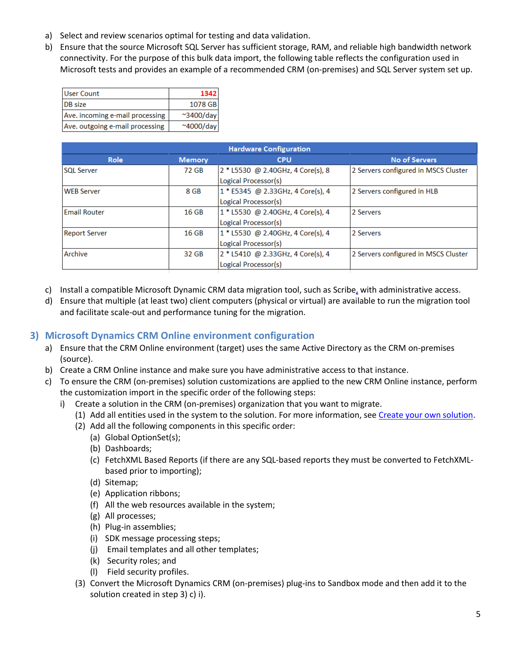- a) Select and review scenarios optimal for testing and data validation.
- b) Ensure that the source Microsoft SQL Server has sufficient storage, RAM, and reliable high bandwidth network connectivity. For the purpose of this bulk data import, the following table reflects the configuration used in Microsoft tests and provides an example of a recommended CRM (on-premises) and SQL Server system set up.

| <b>User Count</b>               | 1342               |
|---------------------------------|--------------------|
| <b>DB</b> size                  | 1078 GB            |
| Ave. incoming e-mail processing | $^{\sim}$ 3400/day |
| Ave. outgoing e-mail processing | $~\sim$ 4000/day   |

| <b>Hardware Configuration</b> |                  |                                   |                                      |  |  |  |
|-------------------------------|------------------|-----------------------------------|--------------------------------------|--|--|--|
| Role                          | <b>Memory</b>    | <b>CPU</b>                        | <b>No of Servers</b>                 |  |  |  |
| <b>SOL Server</b>             | 72 GB            | 2 * L5530 @ 2.40GHz, 4 Core(s), 8 | 2 Servers configured in MSCS Cluster |  |  |  |
|                               |                  | Logical Processor(s)              |                                      |  |  |  |
| <b>WEB Server</b>             | 8 GB             | 1 * E5345 @ 2.33GHz, 4 Core(s), 4 | 2 Servers configured in HLB          |  |  |  |
|                               |                  | Logical Processor(s)              |                                      |  |  |  |
| <b>Email Router</b>           | 16 <sub>GB</sub> | 1 * L5530 @ 2.40GHz, 4 Core(s), 4 | 2 Servers                            |  |  |  |
|                               |                  | Logical Processor(s)              |                                      |  |  |  |
| <b>Report Server</b>          | 16 <sub>GB</sub> | 1 * L5530 @ 2.40GHz, 4 Core(s), 4 | 2 Servers                            |  |  |  |
|                               |                  | Logical Processor(s)              |                                      |  |  |  |
| Archive                       | 32 GB            | 2 * L5410 @ 2.33GHz, 4 Core(s), 4 | 2 Servers configured in MSCS Cluster |  |  |  |
|                               |                  | Logical Processor(s)              |                                      |  |  |  |
|                               |                  |                                   |                                      |  |  |  |

- c) Install a compatible Microsoft Dynamic CRM data migration tool, such as Scribe, with administrative access.
- d) Ensure that multiple (at least two) client computers (physical or virtual) are available to run the migration tool and facilitate scale-out and performance tuning for the migration.

## <span id="page-4-0"></span>**3) Microsoft Dynamics CRM Online environment configuration**

- a) Ensure that the CRM Online environment (target) uses the same Active Directory as the CRM on-premises (source).
- b) Create a CRM Online instance and make sure you have administrative access to that instance.
- c) To ensure the CRM (on-premises) solution customizations are applied to the new CRM Online instance, perform the customization import in the specific order of the following steps:
	- i) Create a solution in the CRM (on-premises) organization that you want to migrate.
		- (1) Add all entities used in the system to the solution. For more information, se[e Create your own solution.](http://technet.microsoft.com/en-us/library/dn531198(v=crm.6).aspx#BKMK_CreateSolution)
		- (2) Add all the following components in this specific order:
			- (a) Global OptionSet(s);
			- (b) Dashboards;
			- (c) FetchXML Based Reports (if there are any SQL-based reports they must be converted to FetchXMLbased prior to importing);
			- (d) Sitemap;
			- (e) Application ribbons;
			- (f) All the web resources available in the system;
			- (g) All processes;
			- (h) Plug-in assemblies;
			- (i) SDK message processing steps;
			- (j) Email templates and all other templates;
			- (k) Security roles; and
			- (l) Field security profiles.
		- (3) Convert the Microsoft Dynamics CRM (on-premises) plug-ins to Sandbox mode and then add it to the solution created in step 3) c) i).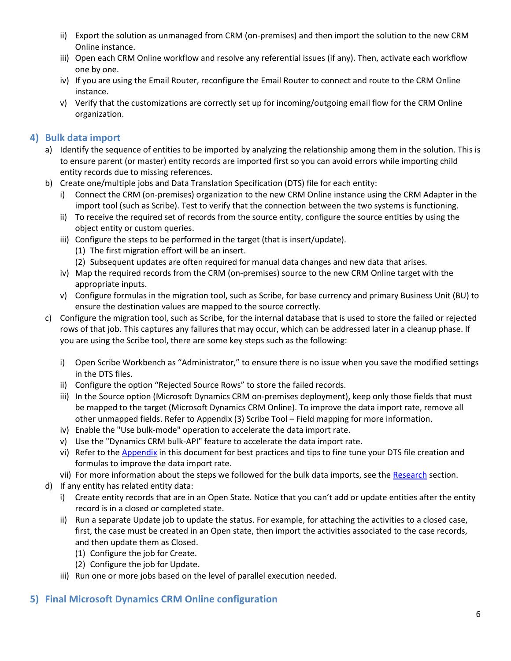- ii) Export the solution as unmanaged from CRM (on-premises) and then import the solution to the new CRM Online instance.
- iii) Open each CRM Online workflow and resolve any referential issues (if any). Then, activate each workflow one by one.
- iv) If you are using the Email Router, reconfigure the Email Router to connect and route to the CRM Online instance.
- v) Verify that the customizations are correctly set up for incoming/outgoing email flow for the CRM Online organization.

# <span id="page-5-0"></span>**4) Bulk data import**

- a) Identify the sequence of entities to be imported by analyzing the relationship among them in the solution. This is to ensure parent (or master) entity records are imported first so you can avoid errors while importing child entity records due to missing references.
- b) Create one/multiple jobs and Data Translation Specification (DTS) file for each entity:
	- i) Connect the CRM (on-premises) organization to the new CRM Online instance using the CRM Adapter in the import tool (such as Scribe). Test to verify that the connection between the two systems is functioning.
	- ii) To receive the required set of records from the source entity, configure the source entities by using the object entity or custom queries.
	- iii) Configure the steps to be performed in the target (that is insert/update).
		- (1) The first migration effort will be an insert.
		- (2) Subsequent updates are often required for manual data changes and new data that arises.
	- iv) Map the required records from the CRM (on-premises) source to the new CRM Online target with the appropriate inputs.
	- v) Configure formulas in the migration tool, such as Scribe, for base currency and primary Business Unit (BU) to ensure the destination values are mapped to the source correctly.
- c) Configure the migration tool, such as Scribe, for the internal database that is used to store the failed or rejected rows of that job. This captures any failures that may occur, which can be addressed later in a cleanup phase. If you are using the Scribe tool, there are some key steps such as the following:
	- i) Open Scribe Workbench as "Administrator," to ensure there is no issue when you save the modified settings in the DTS files.
	- ii) Configure the option "Rejected Source Rows" to store the failed records.
	- iii) In the Source option (Microsoft Dynamics CRM on-premises deployment), keep only those fields that must be mapped to the target (Microsoft Dynamics CRM Online). To improve the data import rate, remove all other unmapped fields. Refer to Appendix (3) Scribe Tool – Field mapping for more information.
	- iv) Enable the "Use bulk-mode" operation to accelerate the data import rate.
	- v) Use the "Dynamics CRM bulk-API" feature to accelerate the data import rate.
	- vi) Refer to the [Appendix](#page-13-0) in this document for best practices and tips to fine tune your DTS file creation and formulas to improve the data import rate.
	- vii) For more information about the steps we followed for the bulk data imports, see the [Research](#page-7-0) section.
- d) If any entity has related entity data:
	- i) Create entity records that are in an Open State. Notice that you can't add or update entities after the entity record is in a closed or completed state.
	- ii) Run a separate Update job to update the status. For example, for attaching the activities to a closed case, first, the case must be created in an Open state, then import the activities associated to the case records, and then update them as Closed.
		- (1) Configure the job for Create.
		- (2) Configure the job for Update.
	- iii) Run one or more jobs based on the level of parallel execution needed.

# <span id="page-5-1"></span>**5) Final Microsoft Dynamics CRM Online configuration**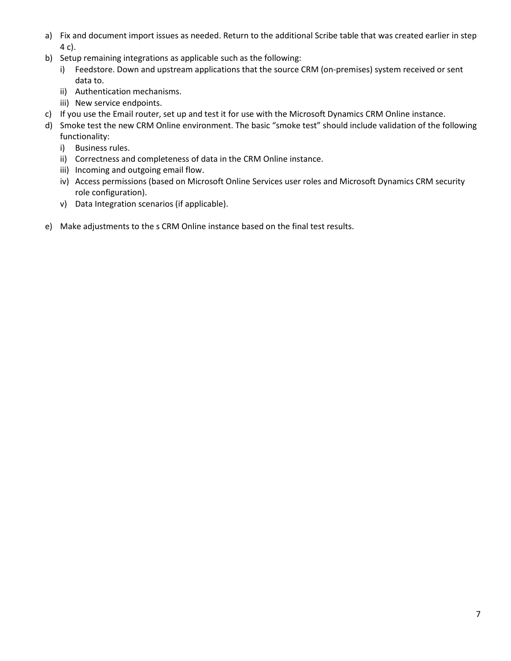- a) Fix and document import issues as needed. Return to the additional Scribe table that was created earlier in step 4 c).
- b) Setup remaining integrations as applicable such as the following:
	- i) Feedstore. Down and upstream applications that the source CRM (on-premises) system received or sent data to.
	- ii) Authentication mechanisms.
	- iii) New service endpoints.
- c) If you use the Email router, set up and test it for use with the Microsoft Dynamics CRM Online instance.
- d) Smoke test the new CRM Online environment. The basic "smoke test" should include validation of the following functionality:
	- i) Business rules.
	- ii) Correctness and completeness of data in the CRM Online instance.
	- iii) Incoming and outgoing email flow.
	- iv) Access permissions (based on Microsoft Online Services user roles and Microsoft Dynamics CRM security role configuration).
	- v) Data Integration scenarios (if applicable).
- e) Make adjustments to the s CRM Online instance based on the final test results.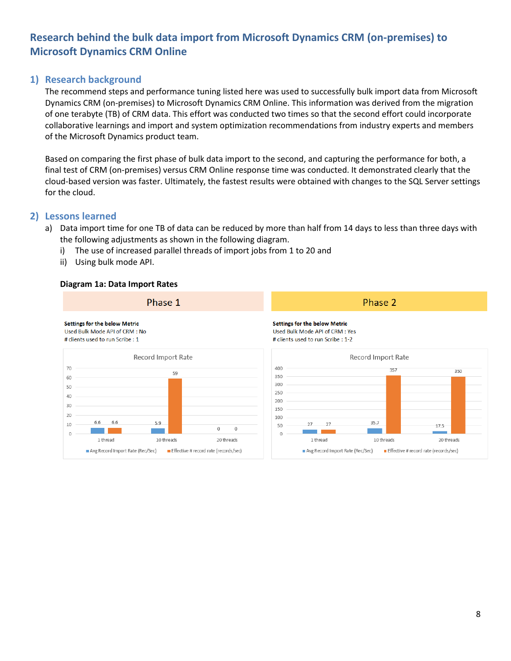# <span id="page-7-0"></span>**Research behind the bulk data import from Microsoft Dynamics CRM (on-premises) to Microsoft Dynamics CRM Online**

## <span id="page-7-1"></span>**1) Research background**

The recommend steps and performance tuning listed here was used to successfully bulk import data from Microsoft Dynamics CRM (on-premises) to Microsoft Dynamics CRM Online. This information was derived from the migration of one terabyte (TB) of CRM data. This effort was conducted two times so that the second effort could incorporate collaborative learnings and import and system optimization recommendations from industry experts and members of the Microsoft Dynamics product team.

Based on comparing the first phase of bulk data import to the second, and capturing the performance for both, a final test of CRM (on-premises) versus CRM Online response time was conducted. It demonstrated clearly that the cloud-based version was faster. Ultimately, the fastest results were obtained with changes to the SQL Server settings for the cloud.

## <span id="page-7-2"></span>**2) Lessons learned**

- a) Data import time for one TB of data can be reduced by more than half from 14 days to less than three days with the following adjustments as shown in the following diagram.
	- i) The use of increased parallel threads of import jobs from 1 to 20 and
	- ii) Using bulk mode API.

#### **Diagram 1a: Data Import Rates**

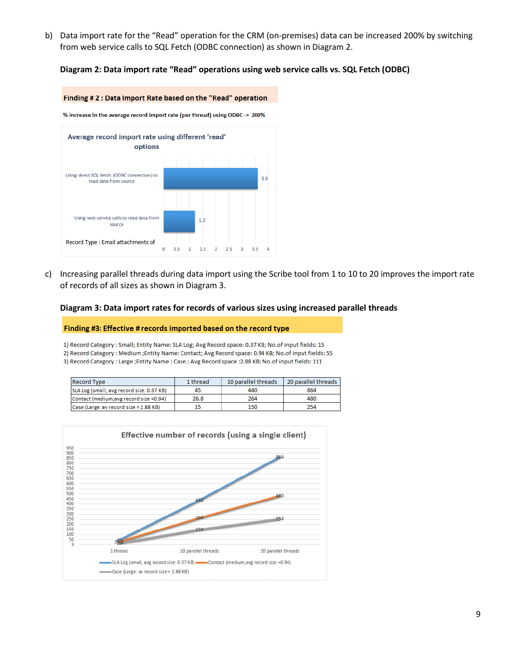b) Data import rate for the "Read" operation for the CRM (on-premises) data can be increased 200% by switching from web service calls to SQL Fetch (ODBC connection) as shown in Diagram 2.

#### **Diagram 2: Data import rate "Read" operations using web service calls vs. SQL Fetch (ODBC)**

#### Finding #2: Data Import Rate based on the "Read" operation

% increase in the average record import rate (per thread) using ODBC -> 200%



c) Increasing parallel threads during data import using the Scribe tool from 1 to 10 to 20 improves the import rate of records of all sizes as shown in Diagram 3.

#### **Diagram 3: Data import rates for records of various sizes using increased parallel threads**

#### Finding #3: Effective # records imported based on the record type

1) Record Category: Small; Entity Name: SLA Log; Avg Record space: 0.37 KB; No.of input fields: 15

2) Record Category : Medium ; Entity Name: Contact; Avg Record space: 0.94 KB; No.of input fields: 55

3) Record Category : Large ; Entity Name : Case ; Avg Record space : 2.88 KB; No.of input fields: 111

| <b>Record Type</b>                        | 1 thread | 10 parallel threads | 20 parallel threads |
|-------------------------------------------|----------|---------------------|---------------------|
| SLA Log (small; avg record size: 0.37 KB) | 45       | 440                 | 864                 |
| Contact (medium; avg record size =0.94)   | 26.8     | 264                 | 480                 |
| Case (Large: av record size = 2.88 KB)    |          | 150                 | 254                 |

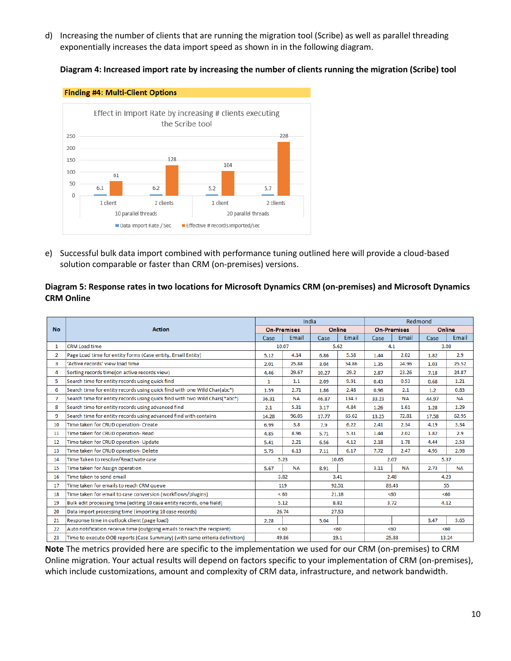d) Increasing the number of clients that are running the migration tool (Scribe) as well as parallel threading exponentially increases the data import speed as shown in in the following diagram.

**Diagram 4: Increased import rate by increasing the number of clients running the migration (Scribe) tool**



e) Successful bulk data import combined with performance tuning outlined here will provide a cloud-based solution comparable or faster than CRM (on-premises) versions.

#### **Diagram 5: Response rates in two locations for Microsoft Dynamics CRM (on-premises) and Microsoft Dynamics CRM Online**

|                |                                                                            | India<br>Redmond |                    |       |        |       |                    |       |              |
|----------------|----------------------------------------------------------------------------|------------------|--------------------|-------|--------|-------|--------------------|-------|--------------|
| <b>No</b>      | <b>Action</b>                                                              |                  | <b>On-Premises</b> |       | Online |       | <b>On-Premises</b> |       | Online       |
|                |                                                                            | Case             | Email              | Case  | Email  | Case  | Email              | Case  | <b>Email</b> |
| $\mathbf{1}$   | CRM Load time                                                              | 10.07            |                    | 5.62  |        | 4.1   |                    | 3.08  |              |
| $\overline{2}$ | Page Load time for entity forms (Case entity, Email Entity)                | 5.12             | 4.14               | 6.86  | 5.58   | 1.44  | 2.02               | 1.82  | 2.9          |
| 3              | 'Active records' view load time                                            | 2.01             | 25.88              | 3.04  | 54.86  | 1.35  | 24.96              | 1.03  | 25.52        |
| 4              | Sorting records time(on active records view)                               | 4.46             | 29.67              | 10.27 | 29.2   | 2.87  | 23.26              | 7.18  | 24.87        |
| 5              | Search time for entity records using quick find                            | $\mathbf{1}$     | 1.1                | 2.09  | 9.91   | 0.43  | 0.53               | 0.68  | 1.21         |
| 6              | Search time for entity records using quick find with one Wild Char(abc*)   | 1.59             | 2.71               | 1.86  | 2.48   | 0.96  | 2.1                | 1.2   | 0.83         |
| $\mathcal{I}$  | Search time for entity records using quick find with two Wild Chars(*abc*) | 36.31            | <b>NA</b>          | 46.87 | 134.3  | 33.23 | <b>NA</b>          | 44.97 | <b>NA</b>    |
| 8              | Search time for entity records using advanced find                         | 2.1              | 5.31               | 3.17  | 4.84   | 1.26  | 1.61               | 1.28  | 1.29         |
| 9              | Search time for entity records using advanced find with contains           | 14.28            | 96.05              | 17.77 | 65.62  | 13.25 | 72.81              | 17.58 | 62.95        |
| 10             | Time taken for CRUD operation- Create                                      | 6.99             | 3.8                | 7.9   | 6.22   | 2.41  | 2.34               | 4.19  | 3.34         |
| 11             | Time taken for CRUD operation-Read                                         | 4.85             | 8.96               | 5.71  | 5.31   | 1.44  | 2.02               | 1.82  | 2.9          |
| 12             | Time taken for CRUD operation- Update                                      | 5.41             | 2.21               | 6.56  | 4.12   | 2.18  | 1.78               | 4.44  | 2.53         |
| 13             | Time taken for CRUD operation- Delete                                      | 5.75             | 6.13               | 7.11  | 6.17   | 7.72  | 2.47               | 4.95  | 2.98         |
| 14             | Time Taken to resolve/Reactivate case                                      |                  | 5.23               | 10.65 |        |       | 2.07               | 5.37  |              |
| 15             | Time taken for Assign operation                                            | 5.67             | <b>NA</b>          | 8.91  |        | 3.11  | <b>NA</b>          | 2.73  | <b>NA</b>    |
| 16             | Time taken to send email                                                   |                  | 3.82               |       | 3.41   |       | 2.48               | 4.23  |              |
| 17             | Time taken for emails to reach CRM queue                                   |                  | 119                |       | 92.51  |       | 83.43              |       | 55           |
| 18             | Time taken for email to case conversion (workflows/plugins)                |                  | < 60               |       | 21.18  |       | < 60               |       | < 60         |
| 19             | Bulk edit processing time (editing 10 case entity records, one field)      |                  | 5.12               |       | 8.82   |       | 3.72               |       | 4.12         |
| 20             | Data import processing time (importing 10 case records)                    | 26.74            |                    |       | 27.53  |       |                    |       |              |
| 21             | Response time in outlook client (page load)                                | 2.28             |                    | 5.04  |        |       |                    | 3.47  | 3.65         |
| 22             | Auto notification receive time (outgoing emails to reach the recipient)    |                  | < 60               |       | < 60   |       | < 60               |       | < 60         |
| 23             | Time to execute OOB reports (Case Summary) (with same criteria definition) |                  | 49.86              |       | 19.1   |       | 25.88              |       | 13.24        |

**Note** The metrics provided here are specific to the implementation we used for our CRM (on-premises) to CRM Online migration. Your actual results will depend on factors specific to your implementation of CRM (on-premises), which include customizations, amount and complexity of CRM data, infrastructure, and network bandwidth.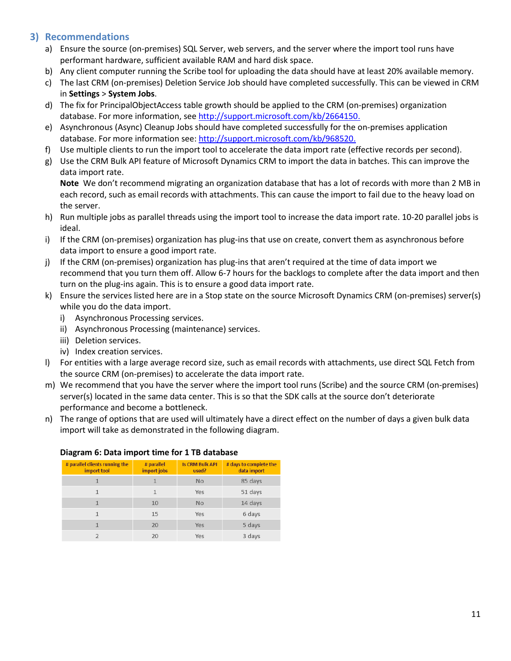# <span id="page-10-0"></span>**3) Recommendations**

- a) Ensure the source (on-premises) SQL Server, web servers, and the server where the import tool runs have performant hardware, sufficient available RAM and hard disk space.
- b) Any client computer running the Scribe tool for uploading the data should have at least 20% available memory.
- c) The last CRM (on-premises) Deletion Service Job should have completed successfully. This can be viewed in CRM in **Settings** > **System Jobs**.
- d) The fix for PrincipalObjectAccess table growth should be applied to the CRM (on-premises) organization database. For more information, see [http://support.microsoft.com/kb/2664150.](http://support.microsoft.com/kb/2664150)
- e) Asynchronous (Async) Cleanup Jobs should have completed successfully for the on-premises application database. For more information see: [http://support.microsoft.com/kb/968520.](http://support.microsoft.com/kb/968520)
- f) Use multiple clients to run the import tool to accelerate the data import rate (effective records per second).
- g) Use the CRM Bulk API feature of Microsoft Dynamics CRM to import the data in batches. This can improve the data import rate.

**Note** We don't recommend migrating an organization database that has a lot of records with more than 2 MB in each record, such as email records with attachments. This can cause the import to fail due to the heavy load on the server.

- h) Run multiple jobs as parallel threads using the import tool to increase the data import rate. 10-20 parallel jobs is ideal.
- i) If the CRM (on-premises) organization has plug-ins that use on create, convert them as asynchronous before data import to ensure a good import rate.
- j) If the CRM (on-premises) organization has plug-ins that aren't required at the time of data import we recommend that you turn them off. Allow 6-7 hours for the backlogs to complete after the data import and then turn on the plug-ins again. This is to ensure a good data import rate.
- k) Ensure the services listed here are in a Stop state on the source Microsoft Dynamics CRM (on-premises) server(s) while you do the data import.
	- i) Asynchronous Processing services.
	- ii) Asynchronous Processing (maintenance) services.
	- iii) Deletion services.
	- iv) Index creation services.
- l) For entities with a large average record size, such as email records with attachments, use direct SQL Fetch from the source CRM (on-premises) to accelerate the data import rate.
- m) We recommend that you have the server where the import tool runs (Scribe) and the source CRM (on-premises) server(s) located in the same data center. This is so that the SDK calls at the source don't deteriorate performance and become a bottleneck.
- n) The range of options that are used will ultimately have a direct effect on the number of days a given bulk data import will take as demonstrated in the following diagram.

| # parallel clients running the<br>import tool | # parallel<br>import jobs | <b>Is CRM Bulk API</b><br>used? | # days to complete the<br>data import |  |
|-----------------------------------------------|---------------------------|---------------------------------|---------------------------------------|--|
|                                               |                           | <b>No</b>                       | 85 days                               |  |
|                                               |                           | Yes                             | 51 days                               |  |
|                                               | 10                        | <b>No</b>                       | 14 days                               |  |
| 1                                             | 15                        | Yes                             | 6 days                                |  |
|                                               | 20                        | Yes                             | 5 days                                |  |
|                                               | 20                        | Yes                             | 3 days                                |  |

#### **Diagram 6: Data import time for 1 TB database**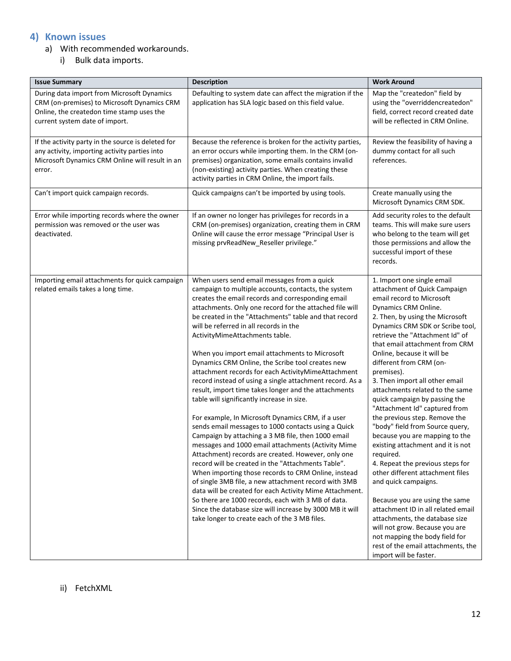# <span id="page-11-0"></span>**4) Known issues**

- a) With recommended workarounds.
	- i) Bulk data imports.

| <b>Issue Summary</b>                                                                                                                                                     | <b>Description</b>                                                                                                                                                                                                                                                                                                                                                                                                                                                                                                                                                                                                                                                                                                                                                                                                                                                                                                                                                                                                                                                                                                                                                                                                                                                                                                                                                     | <b>Work Around</b>                                                                                                                                                                                                                                                                                                                                                                                                                                                                                                                                                                                                                                                                                                                                                                                                                                                                                                                                                              |
|--------------------------------------------------------------------------------------------------------------------------------------------------------------------------|------------------------------------------------------------------------------------------------------------------------------------------------------------------------------------------------------------------------------------------------------------------------------------------------------------------------------------------------------------------------------------------------------------------------------------------------------------------------------------------------------------------------------------------------------------------------------------------------------------------------------------------------------------------------------------------------------------------------------------------------------------------------------------------------------------------------------------------------------------------------------------------------------------------------------------------------------------------------------------------------------------------------------------------------------------------------------------------------------------------------------------------------------------------------------------------------------------------------------------------------------------------------------------------------------------------------------------------------------------------------|---------------------------------------------------------------------------------------------------------------------------------------------------------------------------------------------------------------------------------------------------------------------------------------------------------------------------------------------------------------------------------------------------------------------------------------------------------------------------------------------------------------------------------------------------------------------------------------------------------------------------------------------------------------------------------------------------------------------------------------------------------------------------------------------------------------------------------------------------------------------------------------------------------------------------------------------------------------------------------|
| During data import from Microsoft Dynamics<br>CRM (on-premises) to Microsoft Dynamics CRM<br>Online, the createdon time stamp uses the<br>current system date of import. | Defaulting to system date can affect the migration if the<br>application has SLA logic based on this field value.                                                                                                                                                                                                                                                                                                                                                                                                                                                                                                                                                                                                                                                                                                                                                                                                                                                                                                                                                                                                                                                                                                                                                                                                                                                      | Map the "createdon" field by<br>using the "overriddencreatedon"<br>field, correct record created date<br>will be reflected in CRM Online.                                                                                                                                                                                                                                                                                                                                                                                                                                                                                                                                                                                                                                                                                                                                                                                                                                       |
| If the activity party in the source is deleted for<br>any activity, importing activity parties into<br>Microsoft Dynamics CRM Online will result in an<br>error.         | Because the reference is broken for the activity parties,<br>an error occurs while importing them. In the CRM (on-<br>premises) organization, some emails contains invalid<br>(non-existing) activity parties. When creating these<br>activity parties in CRM Online, the import fails.                                                                                                                                                                                                                                                                                                                                                                                                                                                                                                                                                                                                                                                                                                                                                                                                                                                                                                                                                                                                                                                                                | Review the feasibility of having a<br>dummy contact for all such<br>references.                                                                                                                                                                                                                                                                                                                                                                                                                                                                                                                                                                                                                                                                                                                                                                                                                                                                                                 |
| Can't import quick campaign records.                                                                                                                                     | Quick campaigns can't be imported by using tools.                                                                                                                                                                                                                                                                                                                                                                                                                                                                                                                                                                                                                                                                                                                                                                                                                                                                                                                                                                                                                                                                                                                                                                                                                                                                                                                      | Create manually using the<br>Microsoft Dynamics CRM SDK.                                                                                                                                                                                                                                                                                                                                                                                                                                                                                                                                                                                                                                                                                                                                                                                                                                                                                                                        |
| Error while importing records where the owner<br>permission was removed or the user was<br>deactivated.                                                                  | If an owner no longer has privileges for records in a<br>CRM (on-premises) organization, creating them in CRM<br>Online will cause the error message "Principal User is<br>missing prvReadNew_Reseller privilege."                                                                                                                                                                                                                                                                                                                                                                                                                                                                                                                                                                                                                                                                                                                                                                                                                                                                                                                                                                                                                                                                                                                                                     | Add security roles to the default<br>teams. This will make sure users<br>who belong to the team will get<br>those permissions and allow the<br>successful import of these<br>records.                                                                                                                                                                                                                                                                                                                                                                                                                                                                                                                                                                                                                                                                                                                                                                                           |
| Importing email attachments for quick campaign<br>related emails takes a long time.                                                                                      | When users send email messages from a quick<br>campaign to multiple accounts, contacts, the system<br>creates the email records and corresponding email<br>attachments. Only one record for the attached file will<br>be created in the "Attachments" table and that record<br>will be referred in all records in the<br>ActivityMimeAttachments table.<br>When you import email attachments to Microsoft<br>Dynamics CRM Online, the Scribe tool creates new<br>attachment records for each ActivityMimeAttachment<br>record instead of using a single attachment record. As a<br>result, import time takes longer and the attachments<br>table will significantly increase in size.<br>For example, In Microsoft Dynamics CRM, if a user<br>sends email messages to 1000 contacts using a Quick<br>Campaign by attaching a 3 MB file, then 1000 email<br>messages and 1000 email attachments (Activity Mime<br>Attachment) records are created. However, only one<br>record will be created in the "Attachments Table".<br>When importing those records to CRM Online, instead<br>of single 3MB file, a new attachment record with 3MB<br>data will be created for each Activity Mime Attachment.<br>So there are 1000 records, each with 3 MB of data.<br>Since the database size will increase by 3000 MB it will<br>take longer to create each of the 3 MB files. | 1. Import one single email<br>attachment of Quick Campaign<br>email record to Microsoft<br>Dynamics CRM Online.<br>2. Then, by using the Microsoft<br>Dynamics CRM SDK or Scribe tool,<br>retrieve the "Attachment Id" of<br>that email attachment from CRM<br>Online, because it will be<br>different from CRM (on-<br>premises).<br>3. Then import all other email<br>attachments related to the same<br>quick campaign by passing the<br>"Attachment Id" captured from<br>the previous step. Remove the<br>"body" field from Source query,<br>because you are mapping to the<br>existing attachment and it is not<br>required.<br>4. Repeat the previous steps for<br>other different attachment files<br>and quick campaigns.<br>Because you are using the same<br>attachment ID in all related email<br>attachments, the database size<br>will not grow. Because you are<br>not mapping the body field for<br>rest of the email attachments, the<br>import will be faster. |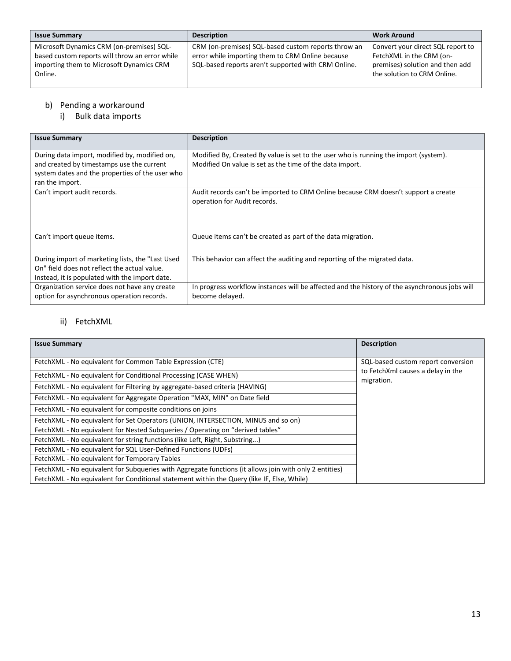| <b>Issue Summary</b>                                | <b>Description</b>                                  | <b>Work Around</b>                                             |
|-----------------------------------------------------|-----------------------------------------------------|----------------------------------------------------------------|
| Microsoft Dynamics CRM (on-premises) SQL-           | CRM (on-premises) SQL-based custom reports throw an | Convert your direct SQL report to                              |
| based custom reports will throw an error while      | error while importing them to CRM Online because    | FetchXML in the CRM (on-                                       |
| importing them to Microsoft Dynamics CRM<br>Online. | SQL-based reports aren't supported with CRM Online. | premises) solution and then add<br>the solution to CRM Online. |
|                                                     |                                                     |                                                                |

#### b) Pending a workaround

i) Bulk data imports

| <b>Issue Summary</b>                                                                                                                                | <b>Description</b>                                                                                                                               |
|-----------------------------------------------------------------------------------------------------------------------------------------------------|--------------------------------------------------------------------------------------------------------------------------------------------------|
| During data import, modified by, modified on,<br>and created by timestamps use the current                                                          | Modified By, Created By value is set to the user who is running the import (system).<br>Modified On value is set as the time of the data import. |
| system dates and the properties of the user who<br>ran the import.                                                                                  |                                                                                                                                                  |
| Can't import audit records.                                                                                                                         | Audit records can't be imported to CRM Online because CRM doesn't support a create<br>operation for Audit records.                               |
| Can't import queue items.                                                                                                                           | Queue items can't be created as part of the data migration.                                                                                      |
| During import of marketing lists, the "Last Used"<br>On" field does not reflect the actual value.<br>Instead, it is populated with the import date. | This behavior can affect the auditing and reporting of the migrated data.                                                                        |
| Organization service does not have any create<br>option for asynchronous operation records.                                                         | In progress workflow instances will be affected and the history of the asynchronous jobs will<br>become delayed.                                 |

## ii) FetchXML

| <b>Issue Summary</b>                                                                                   | <b>Description</b>                              |
|--------------------------------------------------------------------------------------------------------|-------------------------------------------------|
| FetchXML - No equivalent for Common Table Expression (CTE)                                             | SQL-based custom report conversion              |
| FetchXML - No equivalent for Conditional Processing (CASE WHEN)                                        | to FetchXml causes a delay in the<br>migration. |
| FetchXML - No equivalent for Filtering by aggregate-based criteria (HAVING)                            |                                                 |
| FetchXML - No equivalent for Aggregate Operation "MAX, MIN" on Date field                              |                                                 |
| FetchXML - No equivalent for composite conditions on joins                                             |                                                 |
| FetchXML - No equivalent for Set Operators (UNION, INTERSECTION, MINUS and so on)                      |                                                 |
| FetchXML - No equivalent for Nested Subgueries / Operating on "derived tables"                         |                                                 |
| FetchXML - No equivalent for string functions (like Left, Right, Substring)                            |                                                 |
| FetchXML - No equivalent for SQL User-Defined Functions (UDFs)                                         |                                                 |
| FetchXML - No equivalent for Temporary Tables                                                          |                                                 |
| FetchXML - No equivalent for Subqueries with Aggregate functions (it allows join with only 2 entities) |                                                 |
| FetchXML - No equivalent for Conditional statement within the Query (like IF, Else, While)             |                                                 |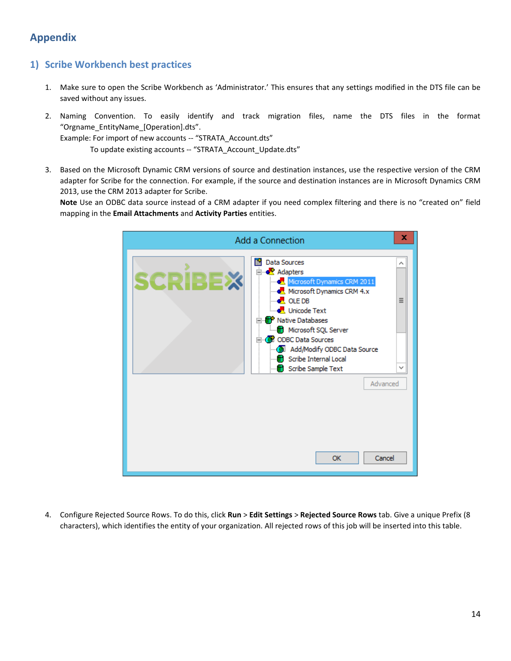# <span id="page-13-0"></span>**Appendix**

# <span id="page-13-1"></span>**1) Scribe Workbench best practices**

- 1. Make sure to open the Scribe Workbench as 'Administrator.' This ensures that any settings modified in the DTS file can be saved without any issues.
- 2. Naming Convention. To easily identify and track migration files, name the DTS files in the format "Orgname\_EntityName\_[Operation].dts".

Example: For import of new accounts -- "STRATA\_Account.dts"

To update existing accounts -- "STRATA\_Account\_Update.dts"

3. Based on the Microsoft Dynamic CRM versions of source and destination instances, use the respective version of the CRM adapter for Scribe for the connection. For example, if the source and destination instances are in Microsoft Dynamics CRM 2013, use the CRM 2013 adapter for Scribe.

**Note** Use an ODBC data source instead of a CRM adapter if you need complex filtering and there is no "created on" field mapping in the **Email Attachments** and **Activity Parties** entities.



4. Configure Rejected Source Rows. To do this, click **Run** > **Edit Settings** > **Rejected Source Rows** tab. Give a unique Prefix (8 characters), which identifies the entity of your organization. All rejected rows of this job will be inserted into this table.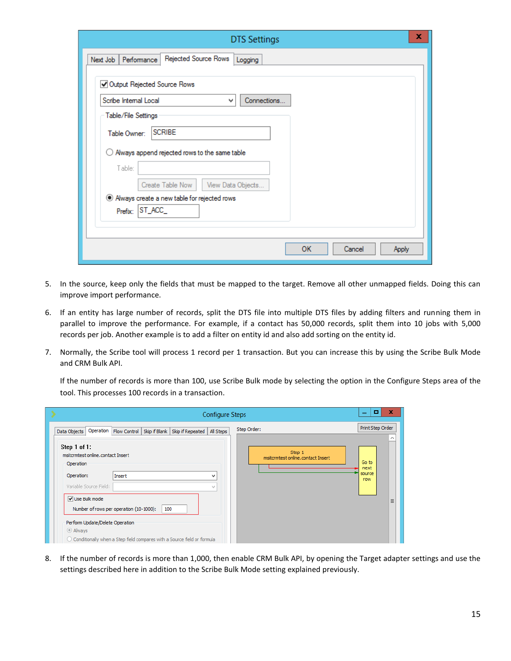| ×<br><b>DTS Settings</b>                                      |
|---------------------------------------------------------------|
| Rejected Source Rows<br>Performance<br>Next Job<br>Logging    |
| Output Rejected Source Rows                                   |
| Connections<br>Scribe Internal Local<br>٧                     |
| Table/File Settings                                           |
| <b>SCRIBE</b><br>Table Owner:                                 |
| Always append rejected rows to the same table<br>0<br>Table:  |
| Create Table Now<br>View Data Objects                         |
| Aways create a new table for rejected rows<br>Prefix: ST_ACC_ |
|                                                               |
| <b>OK</b><br>Cancel<br><b>Apply</b>                           |

- 5. In the source, keep only the fields that must be mapped to the target. Remove all other unmapped fields. Doing this can improve import performance.
- 6. If an entity has large number of records, split the DTS file into multiple DTS files by adding filters and running them in parallel to improve the performance. For example, if a contact has 50,000 records, split them into 10 jobs with 5,000 records per job. Another example is to add a filter on entity id and also add sorting on the entity id.
- 7. Normally, the Scribe tool will process 1 record per 1 transaction. But you can increase this by using the Scribe Bulk Mode and CRM Bulk API.

If the number of records is more than 100, use Scribe Bulk mode by selecting the option in the Configure Steps area of the tool. This processes 100 records in a transaction.

| <b>Configure Steps</b>                                                                                                                                                                      |                                             | ×<br>o<br>-                    |
|---------------------------------------------------------------------------------------------------------------------------------------------------------------------------------------------|---------------------------------------------|--------------------------------|
| Operation  <br>Flow Control   Skip if Blank   Skip if Repeated   All Steps<br>Data Objects                                                                                                  | Step Order:                                 | Print Step Order<br>́          |
| Step 1 of 1:<br>msitcrmtest online.contact Insert<br>Operation<br>Operation:<br>Insert<br>v<br>Variable Source Field:<br>w                                                                  | Step 1<br>msitcrmtest online.contact Insert | Go to<br>next<br>source<br>row |
| Use Bulk mode<br>Number of rows per operation (10-1000):<br>100<br>Perform Update/Delete Operation<br>C Always<br>○ Conditionally when a Step field compares with a Source field or formula |                                             | $\equiv$                       |

8. If the number of records is more than 1,000, then enable CRM Bulk API, by opening the Target adapter settings and use the settings described here in addition to the Scribe Bulk Mode setting explained previously.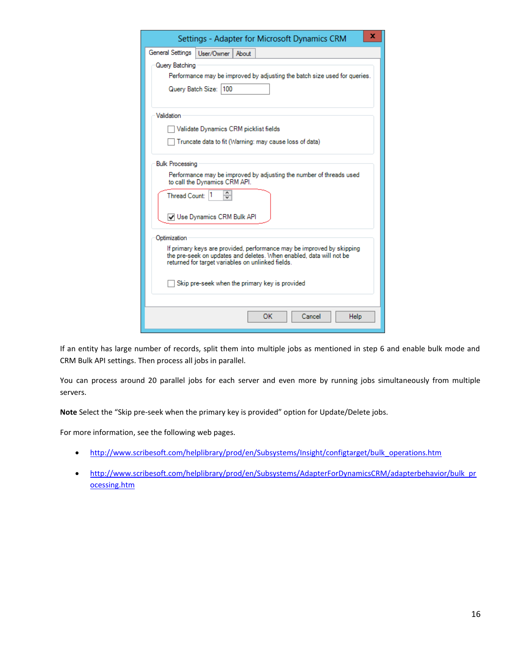| x<br>Settings - Adapter for Microsoft Dynamics CRM                                                                                                                                                                                                                  |  |  |  |  |  |  |  |  |  |
|---------------------------------------------------------------------------------------------------------------------------------------------------------------------------------------------------------------------------------------------------------------------|--|--|--|--|--|--|--|--|--|
| General Settings<br>User/Owner<br>About                                                                                                                                                                                                                             |  |  |  |  |  |  |  |  |  |
| Query Batching                                                                                                                                                                                                                                                      |  |  |  |  |  |  |  |  |  |
| Performance may be improved by adjusting the batch size used for queries.                                                                                                                                                                                           |  |  |  |  |  |  |  |  |  |
| Query Batch Size: 100                                                                                                                                                                                                                                               |  |  |  |  |  |  |  |  |  |
| Validation                                                                                                                                                                                                                                                          |  |  |  |  |  |  |  |  |  |
| Validate Dynamics CRM picklist fields                                                                                                                                                                                                                               |  |  |  |  |  |  |  |  |  |
| Truncate data to fit (Warning: may cause loss of data)                                                                                                                                                                                                              |  |  |  |  |  |  |  |  |  |
| <b>Bulk Processing</b><br>Performance may be improved by adjusting the number of threads used<br>to call the Dynamics CRM API.<br>۸<br>Thread Count: 1<br>$\overline{\mathbf{v}}$<br>J Use Dynamics CRM Bulk API                                                    |  |  |  |  |  |  |  |  |  |
| Optimization<br>If primary keys are provided, performance may be improved by skipping<br>the pre-seek on updates and deletes. When enabled, data will not be<br>returned for target variables on unlinked fields.<br>Skip pre-seek when the primary key is provided |  |  |  |  |  |  |  |  |  |
| OK<br>Cancel<br>Help                                                                                                                                                                                                                                                |  |  |  |  |  |  |  |  |  |

If an entity has large number of records, split them into multiple jobs as mentioned in step 6 and enable bulk mode and CRM Bulk API settings. Then process all jobs in parallel.

You can process around 20 parallel jobs for each server and even more by running jobs simultaneously from multiple servers.

**Note** Select the "Skip pre-seek when the primary key is provided" option for Update/Delete jobs.

For more information, see the following web pages.

- [http://www.scribesoft.com/helplibrary/prod/en/Subsystems/Insight/configtarget/bulk\\_operations.htm](http://www.scribesoft.com/helplibrary/prod/en/Subsystems/Insight/configtarget/bulk_operations.htm)
- [http://www.scribesoft.com/helplibrary/prod/en/Subsystems/AdapterForDynamicsCRM/adapterbehavior/bulk\\_pr](http://www.scribesoft.com/helplibrary/prod/en/Subsystems/AdapterForDynamicsCRM/adapterbehavior/bulk_processing.htm) [ocessing.htm](http://www.scribesoft.com/helplibrary/prod/en/Subsystems/AdapterForDynamicsCRM/adapterbehavior/bulk_processing.htm)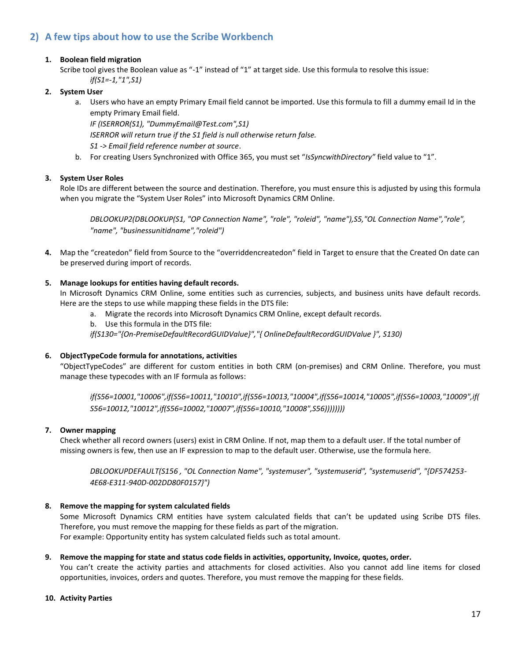# <span id="page-16-0"></span>**2) A few tips about how to use the Scribe Workbench**

#### **1. Boolean field migration**

Scribe tool gives the Boolean value as "-1" instead of "1" at target side. Use this formula to resolve this issue: *if(S1=-1,"1",S1)*

#### **2. System User**

a. Users who have an empty Primary Email field cannot be imported. Use this formula to fill a dummy email Id in the empty Primary Email field.

*IF (ISERROR(S1), "DummyEmail@Test.com",S1) ISERROR will return true if the S1 field is null otherwise return false. S1 -> Email field reference number at source*.

b. For creating Users Synchronized with Office 365, you must set "*IsSyncwithDirectory"* field value to "1".

#### **3. System User Roles**

Role IDs are different between the source and destination. Therefore, you must ensure this is adjusted by using this formula when you migrate the "System User Roles" into Microsoft Dynamics CRM Online.

*DBLOOKUP2(DBLOOKUP(S1, "OP Connection Name", "role", "roleid", "name"),S5,"OL Connection Name","role", "name", "businessunitidname","roleid")*

**4.** Map the "createdon" field from Source to the "overriddencreatedon" field in Target to ensure that the Created On date can be preserved during import of records.

#### **5. Manage lookups for entities having default records.**

In Microsoft Dynamics CRM Online, some entities such as currencies, subjects, and business units have default records. Here are the steps to use while mapping these fields in the DTS file:

- a. Migrate the records into Microsoft Dynamics CRM Online, except default records.
- b. Use this formula in the DTS file:

*if(S130="{On-PremiseDefaultRecordGUIDValue}","{ OnlineDefaultRecordGUIDValue }", S130)*

#### **6. ObjectTypeCode formula for annotations, activities**

"ObjectTypeCodes" are different for custom entities in both CRM (on-premises) and CRM Online. Therefore, you must manage these typecodes with an IF formula as follows:

*if(S56=10001,"10006",if(S56=10011,"10010",if(S56=10013,"10004",if(S56=10014,"10005",if(S56=10003,"10009",if( S56=10012,"10012",if(S56=10002,"10007",if(S56=10010,"10008",S56))))))))*

#### **7. Owner mapping**

Check whether all record owners (users) exist in CRM Online. If not, map them to a default user. If the total number of missing owners is few, then use an IF expression to map to the default user. Otherwise, use the formula here.

*DBLOOKUPDEFAULT(S156 , "OL Connection Name", "systemuser", "systemuserid", "systemuserid", "{DF574253- 4E68-E311-940D-002DD80F0157}")*

#### **8. Remove the mapping for system calculated fields**

Some Microsoft Dynamics CRM entities have system calculated fields that can't be updated using Scribe DTS files. Therefore, you must remove the mapping for these fields as part of the migration. For example: Opportunity entity has system calculated fields such as total amount.

#### **9. Remove the mapping for state and status code fields in activities, opportunity, Invoice, quotes, order.**

You can't create the activity parties and attachments for closed activities. Also you cannot add line items for closed opportunities, invoices, orders and quotes. Therefore, you must remove the mapping for these fields.

#### **10. Activity Parties**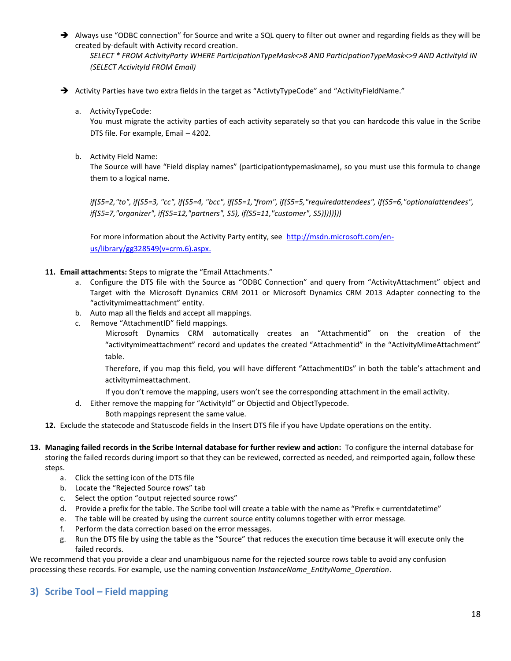- → Always use "ODBC connection" for Source and write a SQL query to filter out owner and regarding fields as they will be created by-default with Activity record creation. *SELECT \* FROM ActivityParty WHERE ParticipationTypeMask<>8 AND ParticipationTypeMask<>9 AND ActivityId IN (SELECT ActivityId FROM Email)*
- → Activity Parties have two extra fields in the target as "ActivtyTypeCode" and "ActivityFieldName."
	- a. ActivityTypeCode:

You must migrate the activity parties of each activity separately so that you can hardcode this value in the Scribe DTS file. For example, Email – 4202.

b. Activity Field Name:

The Source will have "Field display names" (participationtypemaskname), so you must use this formula to change them to a logical name.

*if(S5=2,"to", if(S5=3, "cc", if(S5=4, "bcc", if(S5=1,"from", if(S5=5,"requiredattendees", if(S5=6,"optionalattendees", if(S5=7,"organizer", if(S5=12,"partners", S5), if(S5=11,"customer", S5))))))))*

For more information about the Activity Party entity, see [http://msdn.microsoft.com/en](http://msdn.microsoft.com/en-us/library/gg328549.aspx.)[us/library/gg328549\(v=crm.6\).aspx.](http://msdn.microsoft.com/en-us/library/gg328549.aspx.)

- **11. Email attachments:** Steps to migrate the "Email Attachments."
	- a. Configure the DTS file with the Source as "ODBC Connection" and query from "ActivityAttachment" object and Target with the Microsoft Dynamics CRM 2011 or Microsoft Dynamics CRM 2013 Adapter connecting to the "activitymimeattachment" entity.
	- b. Auto map all the fields and accept all mappings.
	- c. Remove "AttachmentID" field mappings.

Microsoft Dynamics CRM automatically creates an "Attachmentid" on the creation of the "activitymimeattachment" record and updates the created "Attachmentid" in the "ActivityMimeAttachment" table.

Therefore, if you map this field, you will have different "AttachmentIDs" in both the table's attachment and activitymimeattachment.

- If you don't remove the mapping, users won't see the corresponding attachment in the email activity.
- d. Either remove the mapping for "ActivityId" or Objectid and ObjectTypecode.
	- Both mappings represent the same value.
- **12.** Exclude the statecode and Statuscode fields in the Insert DTS file if you have Update operations on the entity.
- **13. Managing failed records in the Scribe Internal database for further review and action:** To configure the internal database for storing the failed records during import so that they can be reviewed, corrected as needed, and reimported again, follow these steps.
	- a. Click the setting icon of the DTS file
	- b. Locate the "Rejected Source rows" tab
	- c. Select the option "output rejected source rows"
	- d. Provide a prefix for the table. The Scribe tool will create a table with the name as "Prefix + currentdatetime"
	- e. The table will be created by using the current source entity columns together with error message.
	- f. Perform the data correction based on the error messages.
	- g. Run the DTS file by using the table as the "Source" that reduces the execution time because it will execute only the failed records.

We recommend that you provide a clear and unambiguous name for the rejected source rows table to avoid any confusion processing these records. For example, use the naming convention *InstanceName\_EntityName\_Operation*.

### <span id="page-17-0"></span>**3) Scribe Tool – Field mapping**